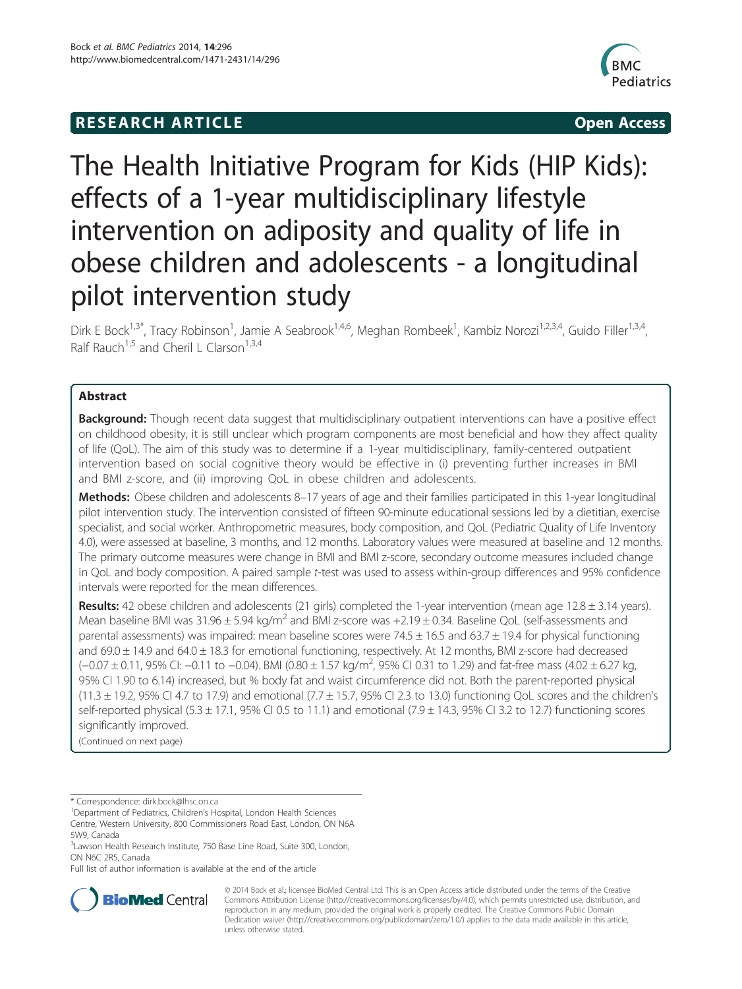## **RESEARCH ARTICLE Example 2018 12:00 Open Access**



# The Health Initiative Program for Kids (HIP Kids): effects of a 1-year multidisciplinary lifestyle intervention on adiposity and quality of life in obese children and adolescents - a longitudinal pilot intervention study

Dirk E Bock<sup>1,3\*</sup>, Tracy Robinson<sup>1</sup>, Jamie A Seabrook<sup>1,4,6</sup>, Meghan Rombeek<sup>1</sup>, Kambiz Norozi<sup>1,2,3,4</sup>, Guido Filler<sup>1,3,4</sup>, Ralf Rauch<sup>1,5</sup> and Cheril L Clarson<sup>1,3,4</sup>

## Abstract

Background: Though recent data suggest that multidisciplinary outpatient interventions can have a positive effect on childhood obesity, it is still unclear which program components are most beneficial and how they affect quality of life (QoL). The aim of this study was to determine if a 1-year multidisciplinary, family-centered outpatient intervention based on social cognitive theory would be effective in (i) preventing further increases in BMI and BMI z-score, and (ii) improving QoL in obese children and adolescents.

Methods: Obese children and adolescents 8–17 years of age and their families participated in this 1-year longitudinal pilot intervention study. The intervention consisted of fifteen 90-minute educational sessions led by a dietitian, exercise specialist, and social worker. Anthropometric measures, body composition, and QoL (Pediatric Quality of Life Inventory 4.0), were assessed at baseline, 3 months, and 12 months. Laboratory values were measured at baseline and 12 months. The primary outcome measures were change in BMI and BMI z-score, secondary outcome measures included change in QoL and body composition. A paired sample t-test was used to assess within-group differences and 95% confidence intervals were reported for the mean differences.

**Results:** 42 obese children and adolescents (21 girls) completed the 1-year intervention (mean age  $12.8 \pm 3.14$  years). Mean baseline BMI was  $31.96 \pm 5.94$  kg/m<sup>2</sup> and BMI z-score was  $+2.19 \pm 0.34$ . Baseline QoL (self-assessments and parental assessments) was impaired: mean baseline scores were  $74.5 \pm 16.5$  and  $63.7 \pm 19.4$  for physical functioning and 69.0 ± 14.9 and 64.0 ± 18.3 for emotional functioning, respectively. At 12 months, BMI z-score had decreased (-0.07 ± 0.11, 95% CI: -0.11 to -0.04). BMI (0.80 ± 1.57 kg/m<sup>2</sup>, 95% CI 0.31 to 1.29) and fat-free mass (4.02 ± 6.27 kg, 95% CI 1.90 to 6.14) increased, but % body fat and waist circumference did not. Both the parent-reported physical  $(11.3 \pm 19.2, 95\%$  CI 4.7 to 17.9) and emotional  $(7.7 \pm 15.7, 95\%$  CI 2.3 to 13.0) functioning QoL scores and the children's self-reported physical (5.3  $\pm$  17.1, 95% CI 0.5 to 11.1) and emotional (7.9  $\pm$  14.3, 95% CI 3.2 to 12.7) functioning scores significantly improved.

(Continued on next page)

\* Correspondence: [dirk.bock@lhsc.on.ca](mailto:dirk.bock@lhsc.on.ca) <sup>1</sup>

5W9, Canada

Full list of author information is available at the end of the article



© 2014 Bock et al.; licensee BioMed Central Ltd. This is an Open Access article distributed under the terms of the Creative Commons Attribution License [\(http://creativecommons.org/licenses/by/4.0\)](http://creativecommons.org/licenses/by/4.0), which permits unrestricted use, distribution, and reproduction in any medium, provided the original work is properly credited. The Creative Commons Public Domain Dedication waiver [\(http://creativecommons.org/publicdomain/zero/1.0/](http://creativecommons.org/publicdomain/zero/1.0/)) applies to the data made available in this article, unless otherwise stated.

<sup>&</sup>lt;sup>1</sup>Department of Pediatrics, Children's Hospital, London Health Sciences Centre, Western University, 800 Commissioners Road East, London, ON N6A

<sup>&</sup>lt;sup>3</sup> Lawson Health Research Institute, 750 Base Line Road, Suite 300, London, ON N6C 2R5, Canada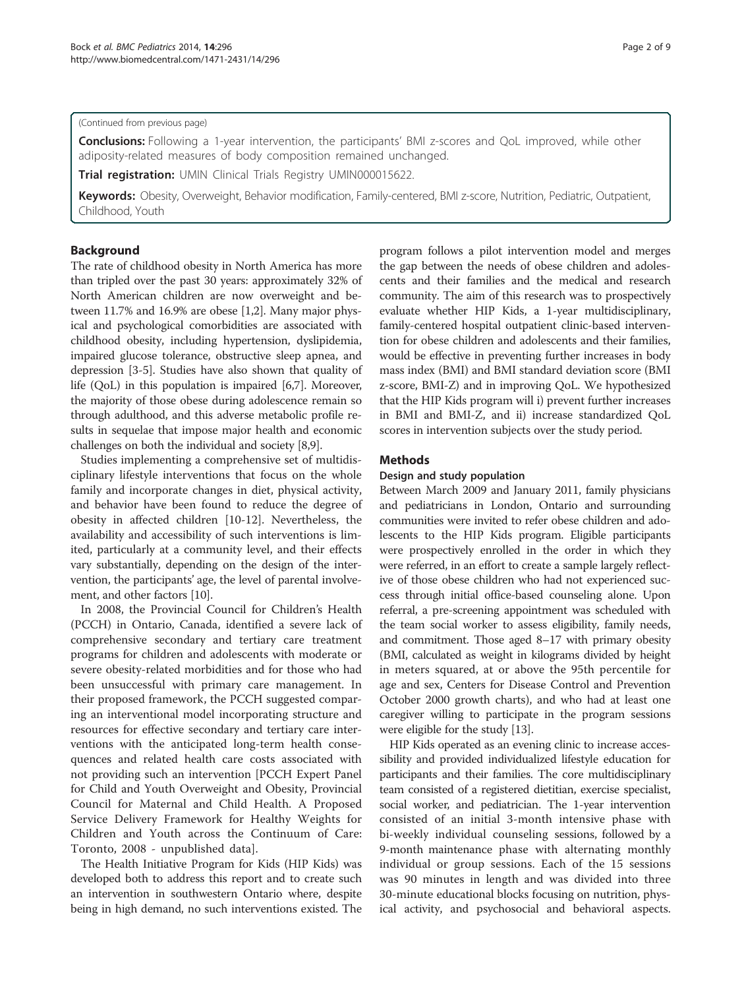#### (Continued from previous page)

Conclusions: Following a 1-year intervention, the participants' BMI z-scores and QoL improved, while other adiposity-related measures of body composition remained unchanged.

Trial registration: UMIN Clinical Trials Registry [UMIN000015622.](https://upload.umin.ac.jp/cgi-open-bin/ctr/ctr.cgi?function=search&action=input&language=E)

Keywords: Obesity, Overweight, Behavior modification, Family-centered, BMI z-score, Nutrition, Pediatric, Outpatient, Childhood, Youth

## Background

The rate of childhood obesity in North America has more than tripled over the past 30 years: approximately 32% of North American children are now overweight and between 11.7% and 16.9% are obese [[1,2](#page-7-0)]. Many major physical and psychological comorbidities are associated with childhood obesity, including hypertension, dyslipidemia, impaired glucose tolerance, obstructive sleep apnea, and depression [\[3](#page-7-0)-[5](#page-7-0)]. Studies have also shown that quality of life (QoL) in this population is impaired [\[6,7](#page-7-0)]. Moreover, the majority of those obese during adolescence remain so through adulthood, and this adverse metabolic profile results in sequelae that impose major health and economic challenges on both the individual and society [\[8,9\]](#page-7-0).

Studies implementing a comprehensive set of multidisciplinary lifestyle interventions that focus on the whole family and incorporate changes in diet, physical activity, and behavior have been found to reduce the degree of obesity in affected children [[10-](#page-7-0)[12\]](#page-8-0). Nevertheless, the availability and accessibility of such interventions is limited, particularly at a community level, and their effects vary substantially, depending on the design of the intervention, the participants' age, the level of parental involvement, and other factors [\[10\]](#page-7-0).

In 2008, the Provincial Council for Children's Health (PCCH) in Ontario, Canada, identified a severe lack of comprehensive secondary and tertiary care treatment programs for children and adolescents with moderate or severe obesity-related morbidities and for those who had been unsuccessful with primary care management. In their proposed framework, the PCCH suggested comparing an interventional model incorporating structure and resources for effective secondary and tertiary care interventions with the anticipated long-term health consequences and related health care costs associated with not providing such an intervention [PCCH Expert Panel for Child and Youth Overweight and Obesity, Provincial Council for Maternal and Child Health. A Proposed Service Delivery Framework for Healthy Weights for Children and Youth across the Continuum of Care: Toronto, 2008 - unpublished data].

The Health Initiative Program for Kids (HIP Kids) was developed both to address this report and to create such an intervention in southwestern Ontario where, despite being in high demand, no such interventions existed. The

program follows a pilot intervention model and merges the gap between the needs of obese children and adolescents and their families and the medical and research community. The aim of this research was to prospectively evaluate whether HIP Kids, a 1-year multidisciplinary, family-centered hospital outpatient clinic-based intervention for obese children and adolescents and their families, would be effective in preventing further increases in body mass index (BMI) and BMI standard deviation score (BMI z-score, BMI-Z) and in improving QoL. We hypothesized that the HIP Kids program will i) prevent further increases in BMI and BMI-Z, and ii) increase standardized QoL scores in intervention subjects over the study period.

## **Methods**

## Design and study population

Between March 2009 and January 2011, family physicians and pediatricians in London, Ontario and surrounding communities were invited to refer obese children and adolescents to the HIP Kids program. Eligible participants were prospectively enrolled in the order in which they were referred, in an effort to create a sample largely reflective of those obese children who had not experienced success through initial office-based counseling alone. Upon referral, a pre-screening appointment was scheduled with the team social worker to assess eligibility, family needs, and commitment. Those aged 8–17 with primary obesity (BMI, calculated as weight in kilograms divided by height in meters squared, at or above the 95th percentile for age and sex, Centers for Disease Control and Prevention October 2000 growth charts), and who had at least one caregiver willing to participate in the program sessions were eligible for the study [[13](#page-8-0)].

HIP Kids operated as an evening clinic to increase accessibility and provided individualized lifestyle education for participants and their families. The core multidisciplinary team consisted of a registered dietitian, exercise specialist, social worker, and pediatrician. The 1-year intervention consisted of an initial 3-month intensive phase with bi-weekly individual counseling sessions, followed by a 9-month maintenance phase with alternating monthly individual or group sessions. Each of the 15 sessions was 90 minutes in length and was divided into three 30-minute educational blocks focusing on nutrition, physical activity, and psychosocial and behavioral aspects.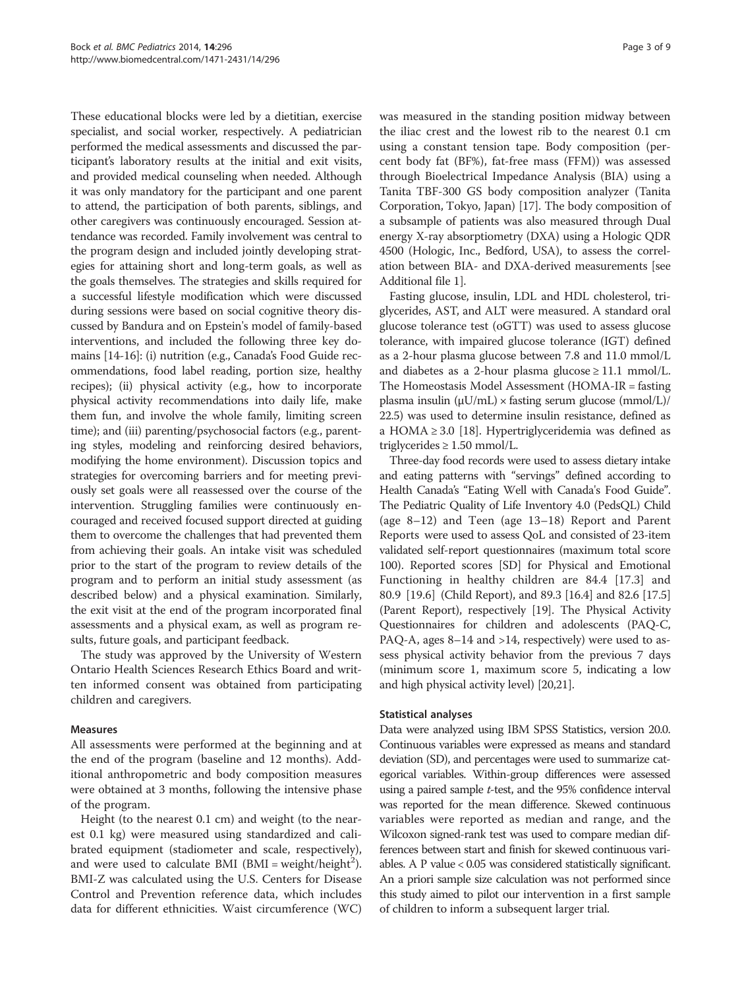These educational blocks were led by a dietitian, exercise specialist, and social worker, respectively. A pediatrician performed the medical assessments and discussed the participant's laboratory results at the initial and exit visits, and provided medical counseling when needed. Although it was only mandatory for the participant and one parent to attend, the participation of both parents, siblings, and other caregivers was continuously encouraged. Session attendance was recorded. Family involvement was central to the program design and included jointly developing strategies for attaining short and long-term goals, as well as the goals themselves. The strategies and skills required for a successful lifestyle modification which were discussed during sessions were based on social cognitive theory discussed by Bandura and on Epstein's model of family-based interventions, and included the following three key domains [\[14-16](#page-8-0)]: (i) nutrition (e.g., Canada's Food Guide recommendations, food label reading, portion size, healthy recipes); (ii) physical activity (e.g., how to incorporate physical activity recommendations into daily life, make them fun, and involve the whole family, limiting screen time); and (iii) parenting/psychosocial factors (e.g., parenting styles, modeling and reinforcing desired behaviors, modifying the home environment). Discussion topics and strategies for overcoming barriers and for meeting previously set goals were all reassessed over the course of the intervention. Struggling families were continuously encouraged and received focused support directed at guiding them to overcome the challenges that had prevented them from achieving their goals. An intake visit was scheduled prior to the start of the program to review details of the program and to perform an initial study assessment (as described below) and a physical examination. Similarly, the exit visit at the end of the program incorporated final assessments and a physical exam, as well as program results, future goals, and participant feedback.

The study was approved by the University of Western Ontario Health Sciences Research Ethics Board and written informed consent was obtained from participating children and caregivers.

## Measures

All assessments were performed at the beginning and at the end of the program (baseline and 12 months). Additional anthropometric and body composition measures were obtained at 3 months, following the intensive phase of the program.

Height (to the nearest 0.1 cm) and weight (to the nearest 0.1 kg) were measured using standardized and calibrated equipment (stadiometer and scale, respectively), and were used to calculate BMI (BMI = weight/height<sup>2</sup>). BMI-Z was calculated using the U.S. Centers for Disease Control and Prevention reference data, which includes data for different ethnicities. Waist circumference (WC)

was measured in the standing position midway between the iliac crest and the lowest rib to the nearest 0.1 cm using a constant tension tape. Body composition (percent body fat (BF%), fat-free mass (FFM)) was assessed through Bioelectrical Impedance Analysis (BIA) using a Tanita TBF-300 GS body composition analyzer (Tanita Corporation, Tokyo, Japan) [[17](#page-8-0)]. The body composition of a subsample of patients was also measured through Dual energy X-ray absorptiometry (DXA) using a Hologic QDR 4500 (Hologic, Inc., Bedford, USA), to assess the correlation between BIA- and DXA-derived measurements [see Additional file [1](#page-7-0)].

Fasting glucose, insulin, LDL and HDL cholesterol, triglycerides, AST, and ALT were measured. A standard oral glucose tolerance test (oGTT) was used to assess glucose tolerance, with impaired glucose tolerance (IGT) defined as a 2-hour plasma glucose between 7.8 and 11.0 mmol/L and diabetes as a 2-hour plasma glucose  $\geq 11.1$  mmol/L. The Homeostasis Model Assessment (HOMA-IR = fasting plasma insulin  $(\mu U/mL) \times$  fasting serum glucose  $(mmol/L)/$ 22.5) was used to determine insulin resistance, defined as a HOMA ≥ 3.0 [[18](#page-8-0)]. Hypertriglyceridemia was defined as triglycerides  $\geq 1.50$  mmol/L.

Three-day food records were used to assess dietary intake and eating patterns with "servings" defined according to Health Canada's "Eating Well with Canada's Food Guide". The Pediatric Quality of Life Inventory 4.0 (PedsQL) Child (age 8–12) and Teen (age 13–18) Report and Parent Reports were used to assess QoL and consisted of 23-item validated self-report questionnaires (maximum total score 100). Reported scores [SD] for Physical and Emotional Functioning in healthy children are 84.4 [17.3] and 80.9 [19.6] (Child Report), and 89.3 [16.4] and 82.6 [17.5] (Parent Report), respectively [\[19\]](#page-8-0). The Physical Activity Questionnaires for children and adolescents (PAQ-C, PAQ-A, ages 8–14 and >14, respectively) were used to assess physical activity behavior from the previous 7 days (minimum score 1, maximum score 5, indicating a low and high physical activity level) [[20](#page-8-0),[21](#page-8-0)].

#### Statistical analyses

Data were analyzed using IBM SPSS Statistics, version 20.0. Continuous variables were expressed as means and standard deviation (SD), and percentages were used to summarize categorical variables. Within-group differences were assessed using a paired sample t-test, and the 95% confidence interval was reported for the mean difference. Skewed continuous variables were reported as median and range, and the Wilcoxon signed-rank test was used to compare median differences between start and finish for skewed continuous variables. A P value < 0.05 was considered statistically significant. An a priori sample size calculation was not performed since this study aimed to pilot our intervention in a first sample of children to inform a subsequent larger trial.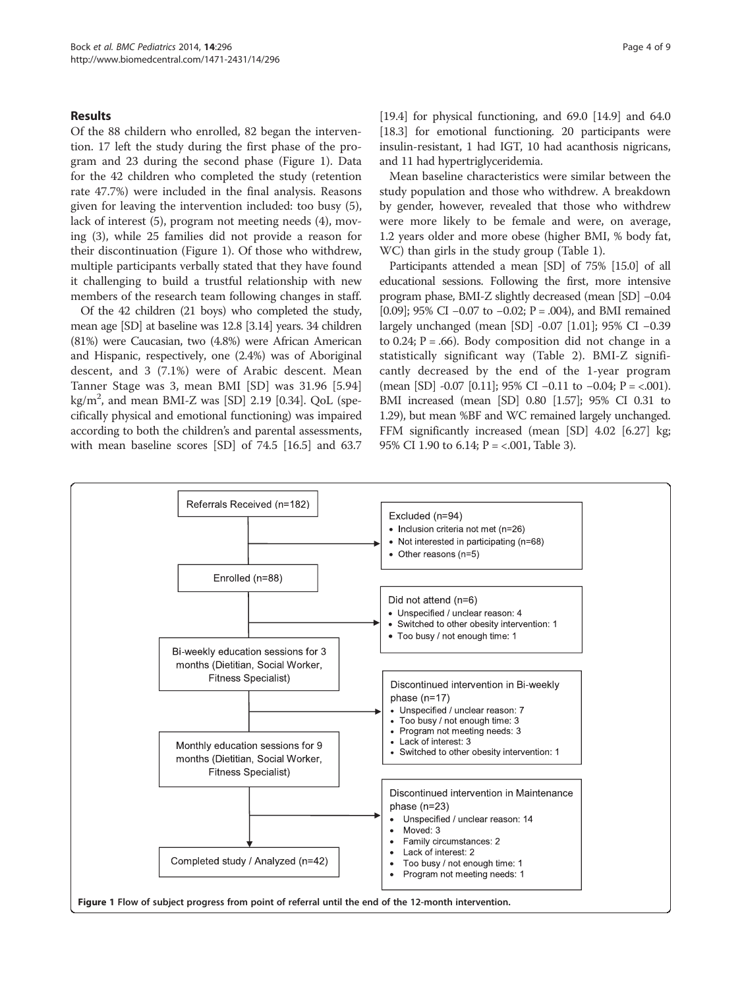#### Results

Of the 88 childern who enrolled, 82 began the intervention. 17 left the study during the first phase of the program and 23 during the second phase (Figure 1). Data for the 42 children who completed the study (retention rate 47.7%) were included in the final analysis. Reasons given for leaving the intervention included: too busy (5), lack of interest (5), program not meeting needs (4), moving (3), while 25 families did not provide a reason for their discontinuation (Figure 1). Of those who withdrew, multiple participants verbally stated that they have found it challenging to build a trustful relationship with new members of the research team following changes in staff.

Of the 42 children (21 boys) who completed the study, mean age [SD] at baseline was 12.8 [3.14] years. 34 children (81%) were Caucasian, two (4.8%) were African American and Hispanic, respectively, one (2.4%) was of Aboriginal descent, and 3 (7.1%) were of Arabic descent. Mean Tanner Stage was 3, mean BMI [SD] was 31.96 [5.94] kg/m2 , and mean BMI-Z was [SD] 2.19 [0.34]. QoL (specifically physical and emotional functioning) was impaired according to both the children's and parental assessments, with mean baseline scores [SD] of 74.5 [16.5] and 63.7 [19.4] for physical functioning, and 69.0 [14.9] and 64.0 [18.3] for emotional functioning. 20 participants were insulin-resistant, 1 had IGT, 10 had acanthosis nigricans,

and 11 had hypertriglyceridemia. Mean baseline characteristics were similar between the study population and those who withdrew. A breakdown by gender, however, revealed that those who withdrew were more likely to be female and were, on average, 1.2 years older and more obese (higher BMI, % body fat, WC) than girls in the study group (Table [1\)](#page-4-0).

Participants attended a mean [SD] of 75% [15.0] of all educational sessions. Following the first, more intensive program phase, BMI-Z slightly decreased (mean [SD] −0.04 [0.09]; 95% CI −0.07 to −0.02; P = .004), and BMI remained largely unchanged (mean [SD] -0.07 [1.01]; 95% CI −0.39 to 0.24;  $P = .66$ ). Body composition did not change in a statistically significant way (Table [2](#page-4-0)). BMI-Z significantly decreased by the end of the 1-year program (mean [SD] -0.07 [0.11]; 95% CI −0.11 to −0.04; P = <.001). BMI increased (mean [SD] 0.80 [1.57]; 95% CI 0.31 to 1.29), but mean %BF and WC remained largely unchanged. FFM significantly increased (mean [SD] 4.02 [6.27] kg; 95% CI 1.90 to 6.14;  $P = <.001$ , Table [3](#page-5-0)).

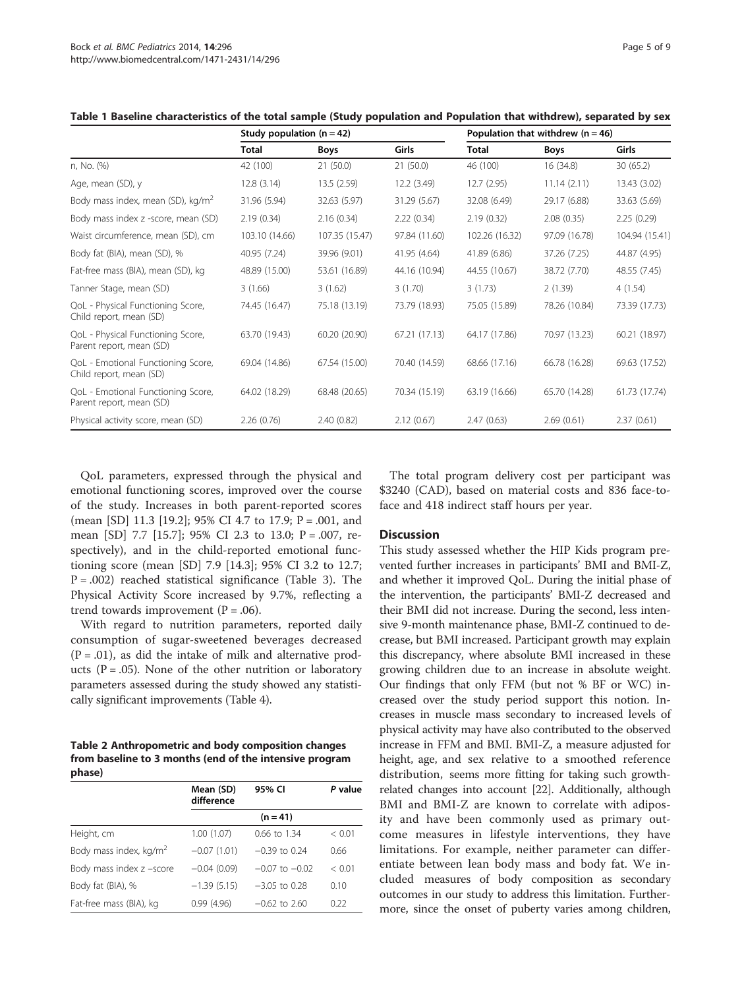|                                                                | Study population $(n = 42)$ |                |               | Population that withdrew $(n = 46)$ |               |                |
|----------------------------------------------------------------|-----------------------------|----------------|---------------|-------------------------------------|---------------|----------------|
|                                                                | <b>Total</b>                | <b>Boys</b>    | Girls         | Total                               | <b>Boys</b>   | Girls          |
| n, No. (%)                                                     | 42 (100)                    | 21(50.0)       | 21(50.0)      | 46 (100)                            | 16 (34.8)     | 30 (65.2)      |
| Age, mean (SD), y                                              | 12.8(3.14)                  | 13.5 (2.59)    | 12.2 (3.49)   | 12.7(2.95)                          | 11.14(2.11)   | 13.43 (3.02)   |
| Body mass index, mean (SD), $\text{kg/m}^2$                    | 31.96 (5.94)                | 32.63 (5.97)   | 31.29 (5.67)  | 32.08 (6.49)                        | 29.17 (6.88)  | 33.63 (5.69)   |
| Body mass index z -score, mean (SD)                            | 2.19(0.34)                  | 2.16(0.34)     | 2.22(0.34)    | 2.19(0.32)                          | 2.08(0.35)    | 2.25(0.29)     |
| Waist circumference, mean (SD), cm                             | 103.10 (14.66)              | 107.35 (15.47) | 97.84 (11.60) | 102.26 (16.32)                      | 97.09 (16.78) | 104.94 (15.41) |
| Body fat (BIA), mean (SD), %                                   | 40.95 (7.24)                | 39.96 (9.01)   | 41.95 (4.64)  | 41.89 (6.86)                        | 37.26 (7.25)  | 44.87 (4.95)   |
| Fat-free mass (BIA), mean (SD), kg                             | 48.89 (15.00)               | 53.61 (16.89)  | 44.16 (10.94) | 44.55 (10.67)                       | 38.72 (7.70)  | 48.55 (7.45)   |
| Tanner Stage, mean (SD)                                        | 3(1.66)                     | 3(1.62)        | 3(1.70)       | 3(1.73)                             | 2(1.39)       | 4(1.54)        |
| QoL - Physical Functioning Score,<br>Child report, mean (SD)   | 74.45 (16.47)               | 75.18 (13.19)  | 73.79 (18.93) | 75.05 (15.89)                       | 78.26 (10.84) | 73.39 (17.73)  |
| QoL - Physical Functioning Score,<br>Parent report, mean (SD)  | 63.70 (19.43)               | 60.20 (20.90)  | 67.21 (17.13) | 64.17 (17.86)                       | 70.97 (13.23) | 60.21 (18.97)  |
| QoL - Emotional Functioning Score,<br>Child report, mean (SD)  | 69.04 (14.86)               | 67.54 (15.00)  | 70.40 (14.59) | 68.66 (17.16)                       | 66.78 (16.28) | 69.63 (17.52)  |
| QoL - Emotional Functioning Score,<br>Parent report, mean (SD) | 64.02 (18.29)               | 68.48 (20.65)  | 70.34 (15.19) | 63.19 (16.66)                       | 65.70 (14.28) | 61.73 (17.74)  |
| Physical activity score, mean (SD)                             | 2.26(0.76)                  | 2.40(0.82)     | 2.12(0.67)    | 2.47(0.63)                          | 2.69(0.61)    | 2.37(0.61)     |

<span id="page-4-0"></span>Table 1 Baseline characteristics of the total sample (Study population and Population that withdrew), separated by sex

QoL parameters, expressed through the physical and emotional functioning scores, improved over the course of the study. Increases in both parent-reported scores (mean [SD] 11.3 [19.2]; 95% CI 4.7 to 17.9; P = .001, and mean [SD] 7.7 [15.7]; 95% CI 2.3 to 13.0; P = .007, respectively), and in the child-reported emotional functioning score (mean [SD] 7.9 [14.3]; 95% CI 3.2 to 12.7;  $P = .002$ ) reached statistical significance (Table [3](#page-5-0)). The Physical Activity Score increased by 9.7%, reflecting a trend towards improvement  $(P = .06)$ .

With regard to nutrition parameters, reported daily consumption of sugar-sweetened beverages decreased  $(P = .01)$ , as did the intake of milk and alternative products ( $P = .05$ ). None of the other nutrition or laboratory parameters assessed during the study showed any statistically significant improvements (Table [4](#page-5-0)).

Table 2 Anthropometric and body composition changes from baseline to 3 months (end of the intensive program phase)

|                                  | Mean (SD)<br>difference | 95% CI             | P value |
|----------------------------------|-------------------------|--------------------|---------|
|                                  |                         | $(n = 41)$         |         |
| Height, cm                       | 1.00(1.07)              | 0.66 to 1.34       | < 0.01  |
| Body mass index, $\text{kg/m}^2$ | $-0.07(1.01)$           | $-0.39$ to 0.24    | 0.66    |
| Body mass index z -score         | $-0.04(0.09)$           | $-0.07$ to $-0.02$ | < 0.01  |
| Body fat (BIA), %                | $-1.39(5.15)$           | $-3.05$ to 0.28    | 0.10    |
| Fat-free mass (BIA), kg          | 0.99(4.96)              | $-0.62$ to 2.60    | 0.22    |

The total program delivery cost per participant was \$3240 (CAD), based on material costs and 836 face-toface and 418 indirect staff hours per year.

## **Discussion**

This study assessed whether the HIP Kids program prevented further increases in participants' BMI and BMI-Z, and whether it improved QoL. During the initial phase of the intervention, the participants' BMI-Z decreased and their BMI did not increase. During the second, less intensive 9-month maintenance phase, BMI-Z continued to decrease, but BMI increased. Participant growth may explain this discrepancy, where absolute BMI increased in these growing children due to an increase in absolute weight. Our findings that only FFM (but not % BF or WC) increased over the study period support this notion. Increases in muscle mass secondary to increased levels of physical activity may have also contributed to the observed increase in FFM and BMI. BMI-Z, a measure adjusted for height, age, and sex relative to a smoothed reference distribution, seems more fitting for taking such growthrelated changes into account [\[22\]](#page-8-0). Additionally, although BMI and BMI-Z are known to correlate with adiposity and have been commonly used as primary outcome measures in lifestyle interventions, they have limitations. For example, neither parameter can differentiate between lean body mass and body fat. We included measures of body composition as secondary outcomes in our study to address this limitation. Furthermore, since the onset of puberty varies among children,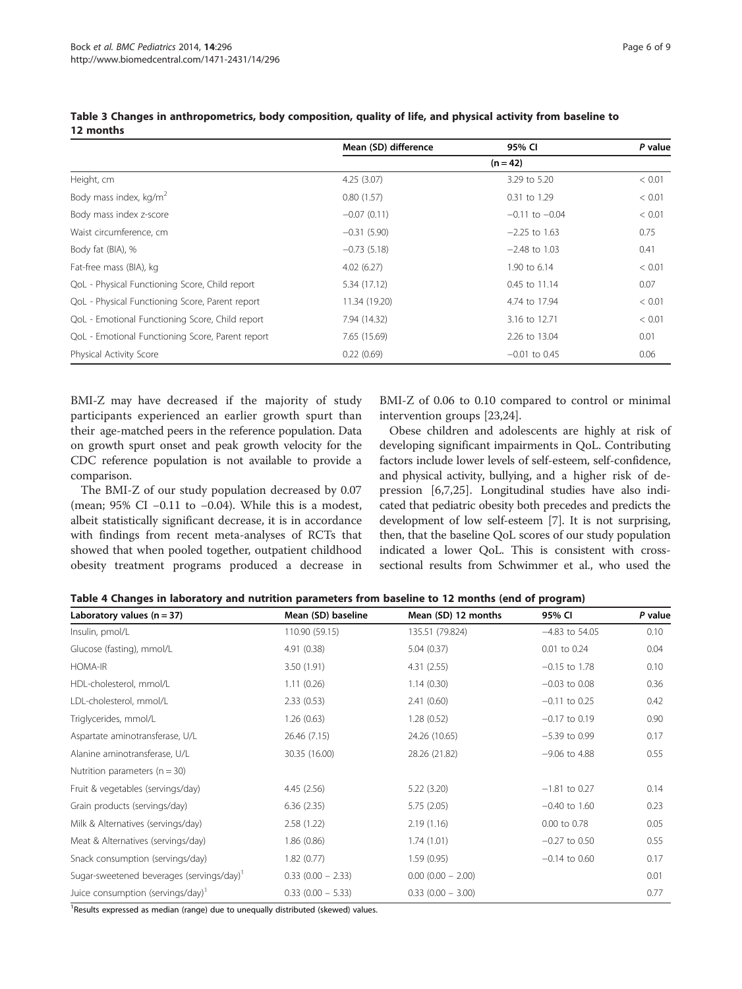|                                                  | Mean (SD) difference | 95% CI             | P value |
|--------------------------------------------------|----------------------|--------------------|---------|
|                                                  |                      |                    |         |
| Height, cm                                       | 4.25(3.07)           | 3.29 to 5.20       | < 0.01  |
| Body mass index, kg/m <sup>2</sup>               | 0.80(1.57)           | 0.31 to 1.29       | < 0.01  |
| Body mass index z-score                          | $-0.07(0.11)$        | $-0.11$ to $-0.04$ | < 0.01  |
| Waist circumference, cm                          | $-0.31(5.90)$        | $-2.25$ to 1.63    | 0.75    |
| Body fat (BIA), %                                | $-0.73(5.18)$        | $-2.48$ to 1.03    | 0.41    |
| Fat-free mass (BIA), kg                          | 4.02(6.27)           | 1.90 to 6.14       | < 0.01  |
| QoL - Physical Functioning Score, Child report   | 5.34(17.12)          | 0.45 to 11.14      | 0.07    |
| QoL - Physical Functioning Score, Parent report  | 11.34 (19.20)        | 4.74 to 17.94      | < 0.01  |
| QoL - Emotional Functioning Score, Child report  | 7.94 (14.32)         | 3.16 to 12.71      | < 0.01  |
| QoL - Emotional Functioning Score, Parent report | 7.65 (15.69)         | 2.26 to 13.04      | 0.01    |
| Physical Activity Score                          | 0.22(0.69)           | $-0.01$ to 0.45    | 0.06    |

<span id="page-5-0"></span>Table 3 Changes in anthropometrics, body composition, quality of life, and physical activity from baseline to 12 months

BMI-Z may have decreased if the majority of study participants experienced an earlier growth spurt than their age-matched peers in the reference population. Data on growth spurt onset and peak growth velocity for the CDC reference population is not available to provide a comparison.

The BMI-Z of our study population decreased by 0.07 (mean; 95% CI −0.11 to −0.04). While this is a modest, albeit statistically significant decrease, it is in accordance with findings from recent meta-analyses of RCTs that showed that when pooled together, outpatient childhood obesity treatment programs produced a decrease in

BMI-Z of 0.06 to 0.10 compared to control or minimal intervention groups [[23](#page-8-0),[24](#page-8-0)].

Obese children and adolescents are highly at risk of developing significant impairments in QoL. Contributing factors include lower levels of self-esteem, self-confidence, and physical activity, bullying, and a higher risk of depression [\[6](#page-7-0),[7,](#page-7-0)[25\]](#page-8-0). Longitudinal studies have also indicated that pediatric obesity both precedes and predicts the development of low self-esteem [\[7](#page-7-0)]. It is not surprising, then, that the baseline QoL scores of our study population indicated a lower QoL. This is consistent with crosssectional results from Schwimmer et al., who used the

| Table 4 Changes in laboratory and nutrition parameters from baseline to 12 months (end of program) |  |  |  |  |  |  |
|----------------------------------------------------------------------------------------------------|--|--|--|--|--|--|
|----------------------------------------------------------------------------------------------------|--|--|--|--|--|--|

| Laboratory values $(n = 37)$                  | Mean (SD) baseline  | Mean (SD) 12 months    | 95% CI           | P value |
|-----------------------------------------------|---------------------|------------------------|------------------|---------|
| Insulin, pmol/L                               | 110.90 (59.15)      | 135.51 (79.824)        | $-4.83$ to 54.05 | 0.10    |
| Glucose (fasting), mmol/L                     | 4.91 (0.38)         | 5.04(0.37)             | 0.01 to 0.24     | 0.04    |
| <b>HOMA-IR</b>                                | 3.50 (1.91)         | 4.31(2.55)             | $-0.15$ to 1.78  | 0.10    |
| HDL-cholesterol, mmol/L                       | 1.11(0.26)          | 1.14(0.30)             | $-0.03$ to 0.08  | 0.36    |
| LDL-cholesterol, mmol/L                       | 2.33(0.53)          | 2.41(0.60)             | $-0.11$ to 0.25  | 0.42    |
| Triglycerides, mmol/L                         | 1.26(0.63)          | 1.28(0.52)             | $-0.17$ to 0.19  | 0.90    |
| Aspartate aminotransferase, U/L               | 26.46 (7.15)        | 24.26 (10.65)          | $-5.39$ to 0.99  | 0.17    |
| Alanine aminotransferase, U/L                 | 30.35 (16.00)       | 28.26 (21.82)          | $-9.06$ to 4.88  | 0.55    |
| Nutrition parameters $(n = 30)$               |                     |                        |                  |         |
| Fruit & vegetables (servings/day)             | 4.45(2.56)          | 5.22 (3.20)            | $-1.81$ to 0.27  | 0.14    |
| Grain products (servings/day)                 | 6.36(2.35)          | 5.75(2.05)             | $-0.40$ to 1.60  | 0.23    |
| Milk & Alternatives (servings/day)            | 2.58(1.22)          | 2.19(1.16)             | 0.00 to 0.78     | 0.05    |
| Meat & Alternatives (servings/day)            | 1.86(0.86)          | 1.74(1.01)             | $-0.27$ to 0.50  | 0.55    |
| Snack consumption (servings/day)              | 1.82(0.77)          | 1.59(0.95)             | $-0.14$ to 0.60  | 0.17    |
| Sugar-sweetened beverages (servings/day)'     | $0.33(0.00 - 2.33)$ | $0.00$ $(0.00 - 2.00)$ |                  | 0.01    |
| Juice consumption (servings/day) <sup>1</sup> | $0.33(0.00 - 5.33)$ | $0.33(0.00 - 3.00)$    |                  | 0.77    |

<sup>1</sup>Results expressed as median (range) due to unequally distributed (skewed) values.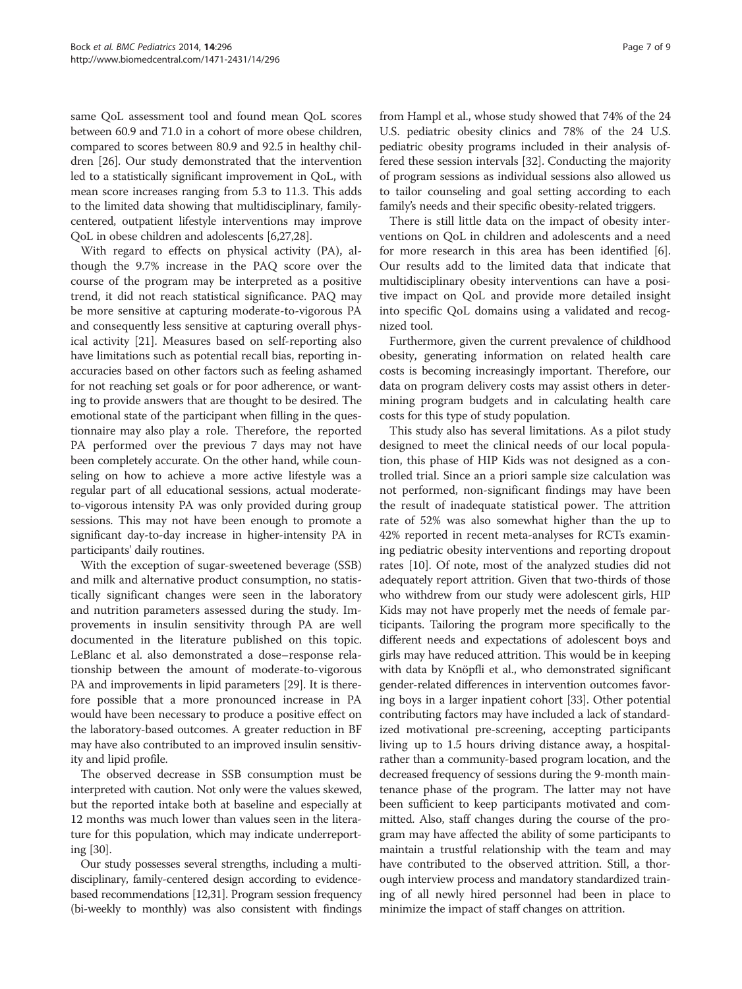same QoL assessment tool and found mean QoL scores between 60.9 and 71.0 in a cohort of more obese children, compared to scores between 80.9 and 92.5 in healthy children [\[26\]](#page-8-0). Our study demonstrated that the intervention led to a statistically significant improvement in QoL, with mean score increases ranging from 5.3 to 11.3. This adds to the limited data showing that multidisciplinary, familycentered, outpatient lifestyle interventions may improve QoL in obese children and adolescents [\[6](#page-7-0)[,27,28](#page-8-0)].

With regard to effects on physical activity (PA), although the 9.7% increase in the PAQ score over the course of the program may be interpreted as a positive trend, it did not reach statistical significance. PAQ may be more sensitive at capturing moderate-to-vigorous PA and consequently less sensitive at capturing overall physical activity [\[21](#page-8-0)]. Measures based on self-reporting also have limitations such as potential recall bias, reporting inaccuracies based on other factors such as feeling ashamed for not reaching set goals or for poor adherence, or wanting to provide answers that are thought to be desired. The emotional state of the participant when filling in the questionnaire may also play a role. Therefore, the reported PA performed over the previous 7 days may not have been completely accurate. On the other hand, while counseling on how to achieve a more active lifestyle was a regular part of all educational sessions, actual moderateto-vigorous intensity PA was only provided during group sessions. This may not have been enough to promote a significant day-to-day increase in higher-intensity PA in participants' daily routines.

With the exception of sugar-sweetened beverage (SSB) and milk and alternative product consumption, no statistically significant changes were seen in the laboratory and nutrition parameters assessed during the study. Improvements in insulin sensitivity through PA are well documented in the literature published on this topic. LeBlanc et al. also demonstrated a dose–response relationship between the amount of moderate-to-vigorous PA and improvements in lipid parameters [[29](#page-8-0)]. It is therefore possible that a more pronounced increase in PA would have been necessary to produce a positive effect on the laboratory-based outcomes. A greater reduction in BF may have also contributed to an improved insulin sensitivity and lipid profile.

The observed decrease in SSB consumption must be interpreted with caution. Not only were the values skewed, but the reported intake both at baseline and especially at 12 months was much lower than values seen in the literature for this population, which may indicate underreporting [[30](#page-8-0)].

Our study possesses several strengths, including a multidisciplinary, family-centered design according to evidencebased recommendations [\[12,31](#page-8-0)]. Program session frequency (bi-weekly to monthly) was also consistent with findings from Hampl et al., whose study showed that 74% of the 24 U.S. pediatric obesity clinics and 78% of the 24 U.S. pediatric obesity programs included in their analysis offered these session intervals [\[32\]](#page-8-0). Conducting the majority of program sessions as individual sessions also allowed us to tailor counseling and goal setting according to each family's needs and their specific obesity-related triggers.

There is still little data on the impact of obesity interventions on QoL in children and adolescents and a need for more research in this area has been identified [\[6](#page-7-0)]. Our results add to the limited data that indicate that multidisciplinary obesity interventions can have a positive impact on QoL and provide more detailed insight into specific QoL domains using a validated and recognized tool.

Furthermore, given the current prevalence of childhood obesity, generating information on related health care costs is becoming increasingly important. Therefore, our data on program delivery costs may assist others in determining program budgets and in calculating health care costs for this type of study population.

This study also has several limitations. As a pilot study designed to meet the clinical needs of our local population, this phase of HIP Kids was not designed as a controlled trial. Since an a priori sample size calculation was not performed, non-significant findings may have been the result of inadequate statistical power. The attrition rate of 52% was also somewhat higher than the up to 42% reported in recent meta-analyses for RCTs examining pediatric obesity interventions and reporting dropout rates [\[10](#page-7-0)]. Of note, most of the analyzed studies did not adequately report attrition. Given that two-thirds of those who withdrew from our study were adolescent girls, HIP Kids may not have properly met the needs of female participants. Tailoring the program more specifically to the different needs and expectations of adolescent boys and girls may have reduced attrition. This would be in keeping with data by Knöpfli et al., who demonstrated significant gender-related differences in intervention outcomes favoring boys in a larger inpatient cohort [\[33\]](#page-8-0). Other potential contributing factors may have included a lack of standardized motivational pre-screening, accepting participants living up to 1.5 hours driving distance away, a hospitalrather than a community-based program location, and the decreased frequency of sessions during the 9-month maintenance phase of the program. The latter may not have been sufficient to keep participants motivated and committed. Also, staff changes during the course of the program may have affected the ability of some participants to maintain a trustful relationship with the team and may have contributed to the observed attrition. Still, a thorough interview process and mandatory standardized training of all newly hired personnel had been in place to minimize the impact of staff changes on attrition.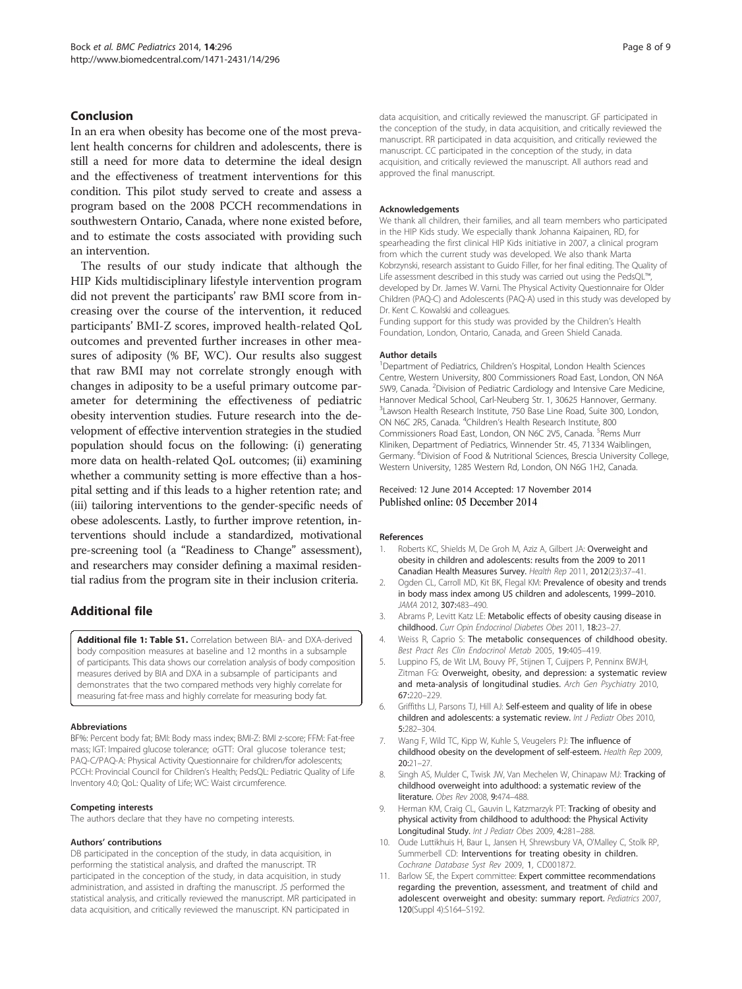## <span id="page-7-0"></span>Conclusion

In an era when obesity has become one of the most prevalent health concerns for children and adolescents, there is still a need for more data to determine the ideal design and the effectiveness of treatment interventions for this condition. This pilot study served to create and assess a program based on the 2008 PCCH recommendations in southwestern Ontario, Canada, where none existed before, and to estimate the costs associated with providing such an intervention.

The results of our study indicate that although the HIP Kids multidisciplinary lifestyle intervention program did not prevent the participants' raw BMI score from increasing over the course of the intervention, it reduced participants' BMI-Z scores, improved health-related QoL outcomes and prevented further increases in other measures of adiposity (% BF, WC). Our results also suggest that raw BMI may not correlate strongly enough with changes in adiposity to be a useful primary outcome parameter for determining the effectiveness of pediatric obesity intervention studies. Future research into the development of effective intervention strategies in the studied population should focus on the following: (i) generating more data on health-related QoL outcomes; (ii) examining whether a community setting is more effective than a hospital setting and if this leads to a higher retention rate; and (iii) tailoring interventions to the gender-specific needs of obese adolescents. Lastly, to further improve retention, interventions should include a standardized, motivational pre-screening tool (a "Readiness to Change" assessment), and researchers may consider defining a maximal residential radius from the program site in their inclusion criteria.

## Additional file

[Additional file 1: Table S1.](http://www.biomedcentral.com/content/supplementary/s12887-014-0296-1-s1.docx) Correlation between BIA- and DXA-derived body composition measures at baseline and 12 months in a subsample of participants. This data shows our correlation analysis of body composition measures derived by BIA and DXA in a subsample of participants and demonstrates that the two compared methods very highly correlate for measuring fat-free mass and highly correlate for measuring body fat.

#### Abbreviations

BF%: Percent body fat; BMI: Body mass index; BMI-Z: BMI z-score; FFM: Fat-free mass; IGT: Impaired glucose tolerance; oGTT: Oral glucose tolerance test; PAQ-C/PAQ-A: Physical Activity Questionnaire for children/for adolescents; PCCH: Provincial Council for Children's Health; PedsQL: Pediatric Quality of Life Inventory 4.0; QoL: Quality of Life; WC: Waist circumference.

#### Competing interests

The authors declare that they have no competing interests.

#### Authors' contributions

DB participated in the conception of the study, in data acquisition, in performing the statistical analysis, and drafted the manuscript. TR participated in the conception of the study, in data acquisition, in study administration, and assisted in drafting the manuscript. JS performed the statistical analysis, and critically reviewed the manuscript. MR participated in data acquisition, and critically reviewed the manuscript. KN participated in

data acquisition, and critically reviewed the manuscript. GF participated in the conception of the study, in data acquisition, and critically reviewed the manuscript. RR participated in data acquisition, and critically reviewed the manuscript. CC participated in the conception of the study, in data acquisition, and critically reviewed the manuscript. All authors read and approved the final manuscript.

#### Acknowledgements

We thank all children, their families, and all team members who participated in the HIP Kids study. We especially thank Johanna Kaipainen, RD, for spearheading the first clinical HIP Kids initiative in 2007, a clinical program from which the current study was developed. We also thank Marta Kobrzynski, research assistant to Guido Filler, for her final editing. The Quality of Life assessment described in this study was carried out using the PedsQL™ developed by Dr. James W. Varni. The Physical Activity Questionnaire for Older Children (PAQ-C) and Adolescents (PAQ-A) used in this study was developed by Dr. Kent C. Kowalski and colleagues.

Funding support for this study was provided by the Children's Health Foundation, London, Ontario, Canada, and Green Shield Canada.

#### Author details

<sup>1</sup>Department of Pediatrics, Children's Hospital, London Health Sciences Centre, Western University, 800 Commissioners Road East, London, ON N6A 5W9, Canada. <sup>2</sup> Division of Pediatric Cardiology and Intensive Care Medicine, Hannover Medical School, Carl-Neuberg Str. 1, 30625 Hannover, Germany. <sup>3</sup> Lawson Health Research Institute, 750 Base Line Road, Suite 300, London ON N6C 2R5, Canada. <sup>4</sup>Children's Health Research Institute, 800 Commissioners Road East, London, ON N6C 2V5, Canada. <sup>5</sup>Rems Murr Kliniken, Department of Pediatrics, Winnender Str. 45, 71334 Waiblingen, Germany. <sup>6</sup>Division of Food & Nutritional Sciences, Brescia University College Western University, 1285 Western Rd, London, ON N6G 1H2, Canada.

#### Received: 12 June 2014 Accepted: 17 November 2014 Published online: 05 December 2014

#### References

- 1. Roberts KC, Shields M, De Groh M, Aziz A, Gilbert JA: Overweight and obesity in children and adolescents: results from the 2009 to 2011 Canadian Health Measures Survey. Health Rep 2011, 2012(23):37–41.
- 2. Ogden CL, Carroll MD, Kit BK, Flegal KM: Prevalence of obesity and trends in body mass index among US children and adolescents, 1999–2010. JAMA 2012, 307:483–490.
- 3. Abrams P, Levitt Katz LE: Metabolic effects of obesity causing disease in childhood. Curr Opin Endocrinol Diabetes Obes 2011, 18:23–27.
- 4. Weiss R, Caprio S: The metabolic consequences of childhood obesity. Best Pract Res Clin Endocrinol Metab 2005, 19:405–419.
- 5. Luppino FS, de Wit LM, Bouvy PF, Stijnen T, Cuijpers P, Penninx BWJH, Zitman FG: Overweight, obesity, and depression: a systematic review and meta-analysis of longitudinal studies. Arch Gen Psychiatry 2010, 67:220–229.
- 6. Griffiths LJ, Parsons TJ, Hill AJ: Self-esteem and quality of life in obese children and adolescents: a systematic review. Int J Pediatr Obes 2010, 5:282–304.
- 7. Wang F, Wild TC, Kipp W, Kuhle S, Veugelers PJ: The influence of childhood obesity on the development of self-esteem. Health Rep 2009, 20:21–27.
- Singh AS, Mulder C, Twisk JW, Van Mechelen W, Chinapaw MJ: Tracking of childhood overweight into adulthood: a systematic review of the literature. Obes Rev 2008, 9:474–488.
- 9. Herman KM, Craig CL, Gauvin L, Katzmarzyk PT: Tracking of obesity and physical activity from childhood to adulthood: the Physical Activity Longitudinal Study. Int J Pediatr Obes 2009, 4:281–288.
- 10. Oude Luttikhuis H, Baur L, Jansen H, Shrewsbury VA, O'Malley C, Stolk RP, Summerbell CD: Interventions for treating obesity in children. Cochrane Database Syst Rev 2009, 1, CD001872.
- 11. Barlow SE, the Expert committee: Expert committee recommendations regarding the prevention, assessment, and treatment of child and adolescent overweight and obesity: summary report. Pediatrics 2007, 120(Suppl 4):S164–S192.